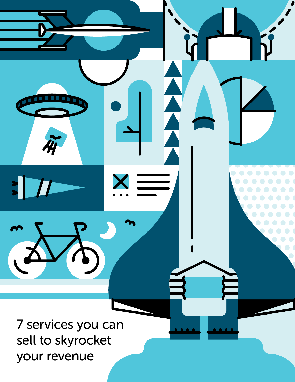7 services you can sell to skyrocket your revenue

11

PAGE 1 | 7 SERVICES YOU CAN SELL TO SKYROCKET YOUR REVENUE

 $\bullet$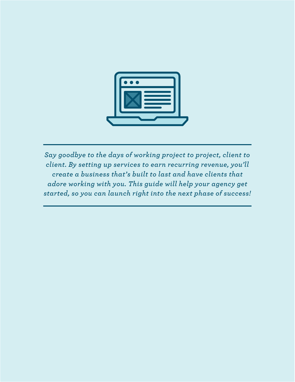

*Say goodbye to the days of working project to project, client to client. By setting up services to earn recurring revenue, you'll create a business that's built to last and have clients that adore working with you. This guide will help your agency get started, so you can launch right into the next phase of success!*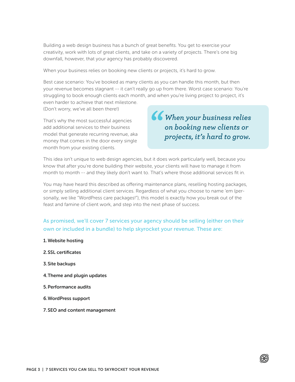Building a web design business has a bunch of great benefits. You get to exercise your creativity, work with lots of great clients, and take on a variety of projects. There's one big downfall, however, that your agency has probably discovered.

When your business relies on booking new clients or projects, it's hard to grow.

Best case scenario: You've booked as many clients as you can handle this month, but then your revenue becomes stagnant -- it can't really go up from there. Worst case scenario: You're struggling to book enough clients each month, and when you're living project to project, it's even harder to achieve that next milestone.

(Don't worry, we've all been there!)

That's why the most successful agencies add additional services to their business model that generate recurring revenue, aka money that comes in the door every single month from your existing clients.

*When your business relies on booking new clients or projects, it's hard to grow.* 

This idea isn't unique to web design agencies, but it does work particularly well, because you know that after you're done building their website, your clients will have to manage it from month to month -- and they likely don't want to. That's where those additional services fit in.

You may have heard this described as offering maintenance plans, reselling hosting packages, or simply selling additional client services. Regardless of what you choose to name 'em (personally, we like "WordPress care packages!"), this model is exactly how you break out of the feast and famine of client work, and step into the next phase of success.

As promised, we'll cover 7 services your agency should be selling (either on their own or included in a bundle) to help skyrocket your revenue. These are:

1. Website hosting 2.SSL certificates 3.Site backups 4.Theme and plugin updates 5.Performance audits 6.WordPress support 7.SEO and content management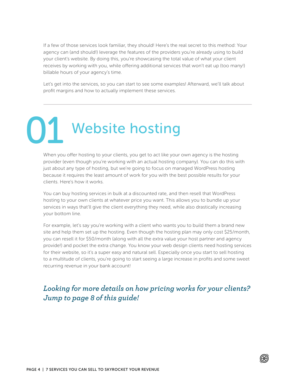If a few of those services look familiar, they should! Here's the real secret to this method: Your agency can (and should!) leverage the features of the providers you're already using to build your client's website. By doing this, you're showcasing the total value of what your client receives by working with you, while offering additional services that won't eat up (too many!) billable hours of your agency's time.

Let's get into the services, so you can start to see some examples! Afterward, we'll talk about profit margins and how to actually implement these services.

Website hosting 01

> When you offer hosting to your clients, you get to act like your own agency is the hosting provider (even though you're working with an actual hosting company). You can do this with just about any type of hosting, but we're going to focus on managed WordPress hosting because it requires the least amount of work for you with the best possible results for your clients. Here's how it works.

You can buy hosting services in bulk at a discounted rate, and then resell that WordPress hosting to your own clients at whatever price you want. This allows you to bundle up your services in ways that'll give the client everything they need, while also drastically increasing your bottom line.

For example, let's say you're working with a client who wants you to build them a brand new site and help them set up the hosting. Even though the hosting plan may only cost \$25/month, you can resell it for \$50/month (along with all the extra value your host partner and agency provide!) and pocket the extra change. You know your web design clients need hosting services for their website, so it's a super easy and natural sell. Especially once you start to sell hosting to a multitude of clients, you're going to start seeing a large increase in profits and some sweet recurring revenue in your bank account!

#### *Looking for more details on how pricing works for your clients? Jump to page 8 of this guide!*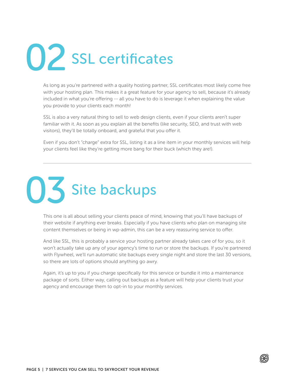# SSL certificates 02

As long as you're partnered with a quality hosting partner, SSL certificates most likely come free with your hosting plan. This makes it a great feature for your agency to sell, because it's already included in what you're offering -- all you have to do is leverage it when explaining the value you provide to your clients each month!

SSL is also a very natural thing to sell to web design clients, even if your clients aren't super familiar with it. As soon as you explain all the benefits (like security, SEO, and trust with web visitors), they'll be totally onboard, and grateful that you offer it.

Even if you don't "charge" extra for SSL, listing it as a line item in your monthly services will help your clients feel like they're getting more bang for their buck (which they are!).



This one is all about selling your clients peace of mind, knowing that you'll have backups of their website if anything ever breaks. Especially if you have clients who plan on managing site content themselves or being in wp-admin, this can be a very reassuring service to offer.

And like SSL, this is probably a service your hosting partner already takes care of for you, so it won't actually take up any of your agency's time to run or store the backups. If you're partnered with Flywheel, we'll run automatic site backups every single night and store the last 30 versions, so there are lots of options should anything go awry.

Again, it's up to you if you charge specifically for this service or bundle it into a maintenance package of sorts. Either way, calling out backups as a feature will help your clients trust your agency and encourage them to opt-in to your monthly services.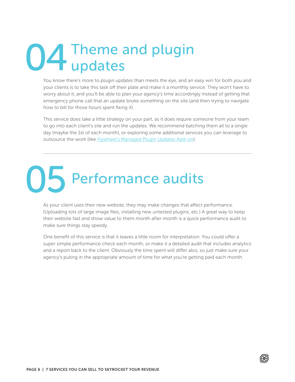### Theme and plugin updates 04

You know there's more to plugin updates than meets the eye, and an easy win for both you and your clients is to take this task off their plate and make it a monthly service. They won't have to worry about it, and you'll be able to plan your agency's time accordingly instead of getting that emergency phone call that an update broke something on the site (and then trying to navigate how to bill for those hours spent fixing it).

This service does take a little strategy on your part, as it does require someone from your team to go into each client's site and run the updates. We recommend batching them all to a single day (maybe the 1st of each month), or exploring some additional services you can leverage to outsource the work (like [Flywheel's Managed Plugin Updates Add-on](https://getflywheel.com/add-ons/?utm_campaign=add-ons&utm_medium=resources&utm_source=ebook-cta&utm_content=skyrocket-revenue-add-ons)).

# Performance audits 05

As your client uses their new website, they may make changes that affect performance. (Uploading lots of large image files, installing new untested plugins, etc.) A great way to keep their website fast and show value to them month after month is a quick performance audit to make sure things stay speedy.

One benefit of this service is that it leaves a little room for interpretation. You could offer a super simple performance check each month, or make it a detailed audit that includes analytics and a report back to the client. Obviously the time spent will differ also, so just make sure your agency's puting in the appropriate amount of time for what you're getting paid each month.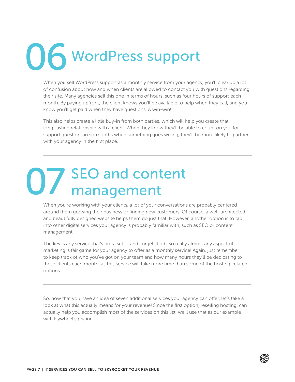# WordPress support 06

When you sell WordPress support as a monthly service from your agency, you'll clear up a lot of confusion about how and when clients are allowed to contact you with questions regarding their site. Many agencies sell this one in terms of hours, such as four hours of support each month. By paying upfront, the client knows you'll be available to help when they call, and you know you'll get paid when they have questions. A win-win!

This also helps create a little buy-in from both parties, which will help you create that long-lasting relationship with a client. When they know they'll be able to count on you for support questions in six months when something goes wrong, they'll be more likely to partner with your agency in the first place.

# SEO and content 07 SEO and cont<br>
management

When you're working with your clients, a lot of your conversations are probably centered around them growing their business or finding new customers. Of course, a well-architected and beautifully designed website helps them do just that! However, another option is to tap into other digital services your agency is probably familiar with, such as SEO or content management.

The key is any service that's not a set-it-and-forget-it job, so really almost any aspect of marketing is fair game for your agency to offer as a monthly service! Again, just remember to keep track of who you've got on your team and how many hours they'll be dedicating to these clients each month, as this service will take more time than some of the hosting-related options.

So, now that you have an idea of seven additional services your agency can offer, let's take a look at what this actually means for your revenue! Since the first option, reselling hosting, can actually help you accomplish most of the services on this list, we'll use that as our example with Flywheel's pricing.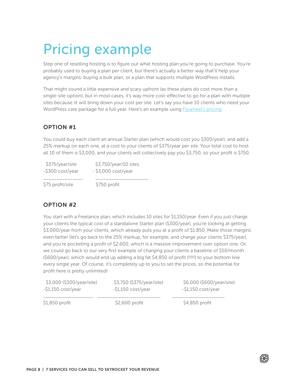### Pricing example

Step one of reselling hosting is to figure out what hosting plan you're going to purchase. You're probably used to buying a plan per client, but there's actually a better way that'll help your agency's margins: buying a bulk plan, or a plan that supports multiple WordPress installs.

That might sound a little expensive and scary upfront (as these plans do cost more than a single-site option), but in most cases, it's way more cost-effective to go for a plan with multiple sites because iit will bring down your cost per site. Let's say you have 10 clients who need your WordPress care package for a full year. Here's an example using [Flywheel's pricing:](https://getflywheel.com/pricing/?utm_campaign=pricing&utm_medium=resources&utm_source=ebook-cta&utm_content=skyrocket-revenue-pricing-example)

#### OPTION #1

You could buy each client an annual Starter plan (which would cost you \$300/year), and add a 25% markup on each one, at a cost to your clients of \$375/year per site. Your total cost to host all 10 of them is \$3,000, and your clients will collectively pay you \$3,750, so your profit is \$750.

| \$375/year/site  | \$3,750/year/10 sites |  |
|------------------|-----------------------|--|
| -\$300 cost/year | $-$ \$3,000 cost/year |  |
| \$75 profit/site | \$750 profit          |  |

#### OPTION #2

You start with a Freelance plan, which includes 10 sites for \$1,150/year. Even if you just charge your clients the typical cost of a standalone Starter plan (\$300/year), you're looking at getting \$3,000/year from your clients, which already puts you at a profit of \$1,850. Make those margins even better (let's go back to the 25% markup, for example, and charge your clients \$375/year), and you're pocketing a profit of \$2,600, which is a massive improvement over option one. Or, we could go back to our very first example of charging your clients a baseline of \$50/month (\$600/year), which would end up adding a big fat \$4,850 of profit (!!!!!) to your bottom line every single year. Of course, it's completely up to you to set the prices, so the potential for profit here is pretty unlimited!

| \$3,000 (\$300/year/site) | \$3,750 (\$375/year/site) | \$6,000 (\$600/year/site) |
|---------------------------|---------------------------|---------------------------|
| $-$1,150 cost/year$       | $-$1,150 cost/year$       | $-$1,150 cost/year$       |
| \$1,850 profit            | \$2,600 profit            | \$4,850 profit            |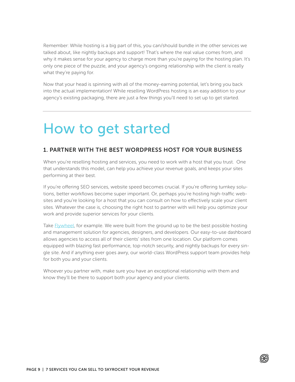Remember: While hosting is a big part of this, you can/should bundle in the other services we talked about, like nightly backups and support! That's where the real value comes from, and why it makes sense for your agency to charge more than you're paying for the hosting plan. It's only one piece of the puzzle, and your agency's ongoing relationship with the client is really what they're paying for.

Now that your head is spinning with all of the money-earning potential, let's bring you back into the actual implementation! While reselling WordPress hosting is an easy addition to your agency's existing packaging, there are just a few things you'll need to set up to get started.

### How to get started

#### 1. PARTNER WITH THE BEST WORDPRESS HOST FOR YOUR BUSINESS

When you're reselling hosting and services, you need to work with a host that you trust. One that understands this model, can help you achieve your revenue goals, and keeps your sites performing at their best.

If you're offering SEO services, website speed becomes crucial. If you're offering turnkey solutions, better workflows become super important. Or, perhaps you're hosting high-traffic websites and you're looking for a host that you can consult on how to effectively scale your client sites. Whatever the case is, choosing the right host to partner with will help you optimize your work and provide superior services for your clients.

Take **Flywheel**, for example. We were built from the ground up to be the best possible hosting and management solution for agencies, designers, and developers. Our easy-to-use dashboard allows agencies to access all of their clients' sites from one location. Our platform comes equipped with blazing fast performance, top-notch security, and nightly backups for every single site. And if anything ever goes awry, our world-class WordPress support team provides help for both you and your clients.

Whoever you partner with, make sure you have an exceptional relationship with them and know they'll be there to support both your agency and your clients.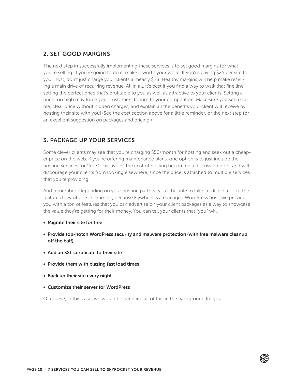#### 2. SET GOOD MARGINS

The next step in successfully implementing these services is to set good margins for what you're selling. If you're going to do it, make it worth your while. If you're paying \$25 per site to your host, don't just charge your clients a measly \$28. Healthy margins will help make reselling a main drive of recurring revenue. All in all, it's best if you find a way to walk that fine line, setting the perfect price that's profitable to you as well as attractive to your clients. Setting a price too high may force your customers to turn to your competition. Make sure you set a stable, clear price without hidden charges, and explain all the benefits your client will receive by hosting their site with you! (See the cost section above for a little reminder, or the next step for an excellent suggestion on packages and pricing.)

#### 3. PACKAGE UP YOUR SERVICES

Some clever clients may see that you're charging \$50/month for hosting and seek out a cheaper price on the web. If you're offering maintenance plans, one option is to just include the hosting services for "free." This avoids the cost of hosting becoming a discussion point and will discourage your clients from looking elsewhere, since the price is attached to multiple services that you're providing.

And remember: Depending on your hosting partner, you'll be able to take credit for a lot of the features they offer. For example, because Flywheel is a managed WordPress host, we provide you with a ton of features that you can advertise on your client packages as a way to showcase the value they're getting for their money. You can tell your clients that "you" will:

- Migrate their site for free
- Provide top-notch WordPress security and malware protection (with free malware cleanup off the bat!)
- Add an SSL certificate to their site
- Provide them with blazing fast load times
- Back up their site every night
- Customize their server for WordPress

Of course, in this case, we would be handling all of this in the background for you!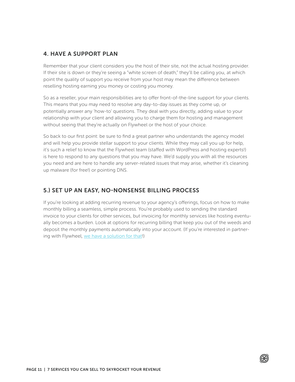#### 4. HAVE A SUPPORT PLAN

Remember that your client considers you the host of their site, not the actual hosting provider. If their site is down or they're seeing a "white screen of death," they'll be calling you, at which point the quality of support you receive from your host may mean the difference between reselling hosting earning you money or costing you money.

So as a reseller, your main responsibilities are to offer front-of-the-line support for your clients. This means that you may need to resolve any day-to-day issues as they come up, or potentially answer any 'how-to' questions. They deal with you directly, adding value to your relationship with your client and allowing you to charge them for hosting and management without seeing that they're actually on Flywheel or the host of your choice.

So back to our first point: be sure to find a great partner who understands the agency model and will help you provide stellar support to your clients. While they may call you up for help, it's such a relief to know that the Flywheel team (staffed with WordPress and hosting experts!) is here to respond to any questions that you may have. We'd supply you with all the resources you need and are here to handle any server-related issues that may arise, whether it's cleaning up malware (for free!) or pointing DNS.

#### 5.) SET UP AN EASY, NO-NONSENSE BILLING PROCESS

If you're looking at adding recurring revenue to your agency's offerings, focus on how to make monthly billing a seamless, simple process. You're probably used to sending the standard invoice to your clients for other services, but invoicing for monthly services like hosting eventually becomes a burden. Look at options for recurring billing that keep you out of the weeds and deposit the monthly payments automatically into your account. (If you're interested in partnering with Flywheel, [we have a solution for that!](https://getflywheel.com/white-label/?utm_campaign=white-label&utm_medium=resources&utm_source=ebook-cta&utm_content=skyrocket-revenue-white-label))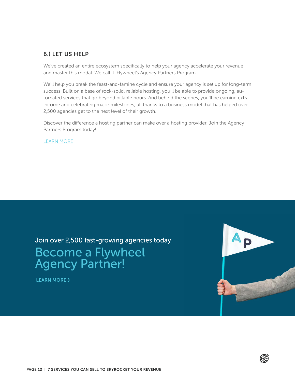#### 6.) LET US HELP

We've created an entire ecosystem specifically to help your agency accelerate your revenue and master this modal. We call it: Flywheel's Agency Partners Program.

We'll help you break the feast-and-famine cycle and ensure your agency is set up for long-term success. Built on a base of rock-solid, reliable hosting, you'll be able to provide ongoing, automated services that go beyond billable hours. And behind the scenes, you'll be earning extra income and celebrating major milestones, all thanks to a business model that has helped over 2,500 agencies get to the next level of their growth.

Discover the difference a hosting partner can make over a hosting provider. Join the Agency Partners Program today!

[LEARN MORE](https://getflywheel.com/partners/?utm_campaign=agency-partners&utm_medium=resources&utm_source=ebook-cta&utm_content=skyrocket-revenue-agency-partners)

Join over 2,500 fast-growing agencies today

### Become a Flywheel **Agency Partner!**

[LEARN MORE](https://getflywheel.com/partners) >